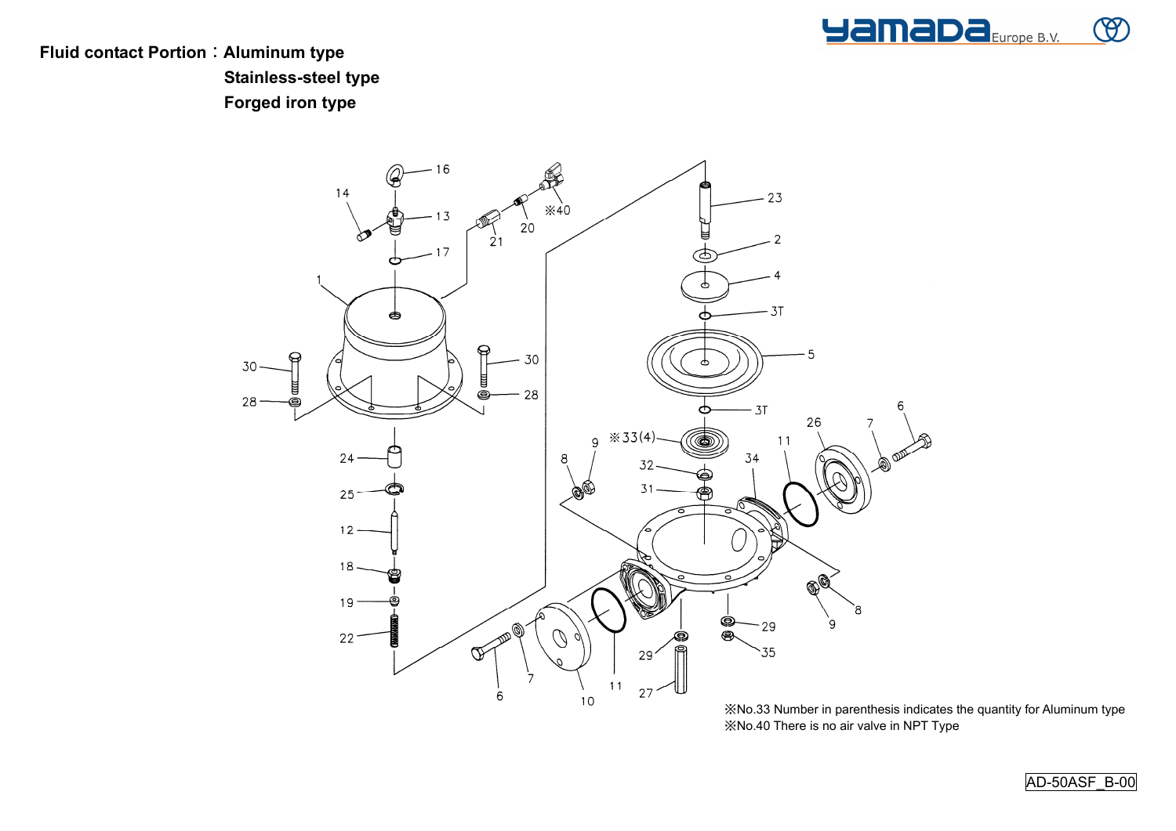

**Fluid contact Portion**:**Aluminum type Stainless-steel type Forged iron type** 



※No.33 Number in parenthesis indicates the quantity for Aluminum type※No.40 There is no air valve in NPT Type